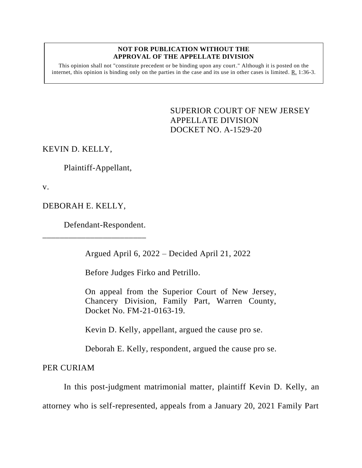## **NOT FOR PUBLICATION WITHOUT THE APPROVAL OF THE APPELLATE DIVISION**

This opinion shall not "constitute precedent or be binding upon any court." Although it is posted on the internet, this opinion is binding only on the parties in the case and its use in other cases is limited. R. 1:36-3.

> <span id="page-0-0"></span>SUPERIOR COURT OF NEW JERSEY APPELLATE DIVISION DOCKET NO. A-1529-20

KEVIN D. KELLY,

Plaintiff-Appellant,

v.

DEBORAH E. KELLY,

Defendant-Respondent.

\_\_\_\_\_\_\_\_\_\_\_\_\_\_\_\_\_\_\_\_\_\_\_\_

Argued April 6, 2022 – Decided April 21, 2022

Before Judges Firko and Petrillo.

On appeal from the Superior Court of New Jersey, Chancery Division, Family Part, Warren County, Docket No. FM-21-0163-19.

Kevin D. Kelly, appellant, argued the cause pro se.

Deborah E. Kelly, respondent, argued the cause pro se.

PER CURIAM

In this post-judgment matrimonial matter, plaintiff Kevin D. Kelly, an

attorney who is self-represented, appeals from a January 20, 2021 Family Part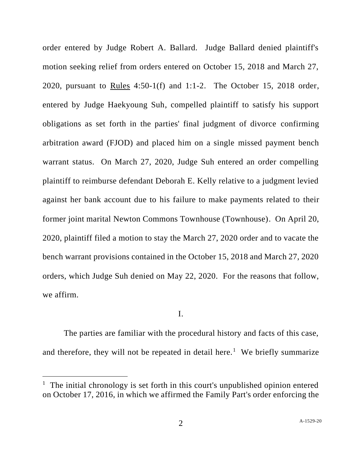order entered by Judge Robert A. Ballard. Judge Ballard denied plaintiff's motion seeking relief from orders entered on October 15, 2018 and March 27, 2020, pursuant to Rules 4:50-1(f) and 1:1-2. The October 15, 2018 order, entered by Judge Haekyoung Suh, compelled plaintiff to satisfy his support obligations as set forth in the parties' final judgment of divorce confirming arbitration award (FJOD) and placed him on a single missed payment bench warrant status. On March 27, 2020, Judge Suh entered an order compelling plaintiff to reimburse defendant Deborah E. Kelly relative to a judgment levied against her bank account due to his failure to make payments related to their former joint marital Newton Commons Townhouse (Townhouse). On April 20, 2020, plaintiff filed a motion to stay the March 27, 2020 order and to vacate the bench warrant provisions contained in the October 15, 2018 and March 27, 2020 orders, which Judge Suh denied on May 22, 2020. For the reasons that follow, we affirm.

## I.

The parties are familiar with the procedural history and facts of this case, and therefore, they will not be repeated in detail here.<sup>1</sup> We briefly summarize

<sup>&</sup>lt;sup>1</sup> The initial chronology is set forth in this court's unpublished opinion entered on October 17, 2016, in which we affirmed the Family Part's order enforcing the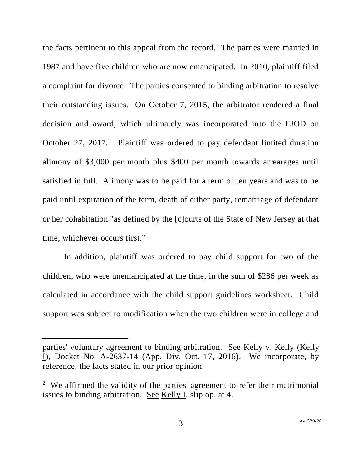the facts pertinent to this appeal from the record. The parties were married in 1987 and have five children who are now emancipated. In 2010, plaintiff filed a complaint for divorce. The parties consented to binding arbitration to resolve their outstanding issues. On October 7, 2015, the arbitrator rendered a final decision and award, which ultimately was incorporated into the FJOD on October 27, 2017.<sup>2</sup> Plaintiff was ordered to pay defendant limited duration alimony of \$3,000 per month plus \$400 per month towards arrearages until satisfied in full. Alimony was to be paid for a term of ten years and was to be paid until expiration of the term, death of either party, remarriage of defendant or her cohabitation "as defined by the [c]ourts of the State of New Jersey at that time, whichever occurs first."

In addition, plaintiff was ordered to pay child support for two of the children, who were unemancipated at the time, in the sum of \$286 per week as calculated in accordance with the child support guidelines worksheet. Child support was subject to modification when the two children were in college and

parties' voluntary agreement to binding arbitration. See Kelly v. Kelly (Kelly I), Docket No. A-2637-14 (App. Div. Oct. 17, 2016). We incorporate, by reference, the facts stated in our prior opinion.

<sup>&</sup>lt;sup>2</sup> We affirmed the validity of the parties' agreement to refer their matrimonial issues to binding arbitration. See Kelly I, slip op. at 4.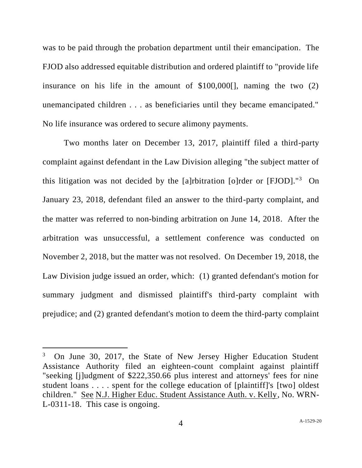was to be paid through the probation department until their emancipation. The FJOD also addressed equitable distribution and ordered plaintiff to "provide life insurance on his life in the amount of  $$100,000$ . naming the two  $(2)$ unemancipated children . . . as beneficiaries until they became emancipated." No life insurance was ordered to secure alimony payments.

Two months later on December 13, 2017, plaintiff filed a third-party complaint against defendant in the Law Division alleging "the subject matter of this litigation was not decided by the [a]rbitration [o]rder or [FJOD]."<sup>3</sup> On January 23, 2018, defendant filed an answer to the third-party complaint, and the matter was referred to non-binding arbitration on June 14, 2018. After the arbitration was unsuccessful, a settlement conference was conducted on November 2, 2018, but the matter was not resolved. On December 19, 2018, the Law Division judge issued an order, which: (1) granted defendant's motion for summary judgment and dismissed plaintiff's third-party complaint with prejudice; and (2) granted defendant's motion to deem the third-party complaint

<sup>3</sup> On June 30, 2017, the State of New Jersey Higher Education Student Assistance Authority filed an eighteen-count complaint against plaintiff "seeking [j]udgment of \$222,350.66 plus interest and attorneys' fees for nine student loans . . . . spent for the college education of [plaintiff]'s [two] oldest children." See N.J. Higher Educ. Student Assistance Auth. v. Kelly, No. WRN-L-0311-18. This case is ongoing.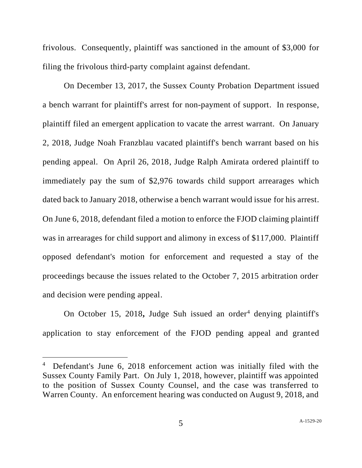frivolous. Consequently, plaintiff was sanctioned in the amount of \$3,000 for filing the frivolous third-party complaint against defendant.

On December 13, 2017, the Sussex County Probation Department issued a bench warrant for plaintiff's arrest for non-payment of support. In response, plaintiff filed an emergent application to vacate the arrest warrant. On January 2, 2018, Judge Noah Franzblau vacated plaintiff's bench warrant based on his pending appeal. On April 26, 2018, Judge Ralph Amirata ordered plaintiff to immediately pay the sum of \$2,976 towards child support arrearages which dated back to January 2018, otherwise a bench warrant would issue for his arrest. On June 6, 2018, defendant filed a motion to enforce the FJOD claiming plaintiff was in arrearages for child support and alimony in excess of \$117,000. Plaintiff opposed defendant's motion for enforcement and requested a stay of the proceedings because the issues related to the October 7, 2015 arbitration order and decision were pending appeal.

On October 15, 2018, Judge Suh issued an order<sup>4</sup> denying plaintiff's application to stay enforcement of the FJOD pending appeal and granted

<sup>&</sup>lt;sup>4</sup> Defendant's June 6, 2018 enforcement action was initially filed with the Sussex County Family Part. On July 1, 2018, however, plaintiff was appointed to the position of Sussex County Counsel, and the case was transferred to Warren County. An enforcement hearing was conducted on August 9, 2018, and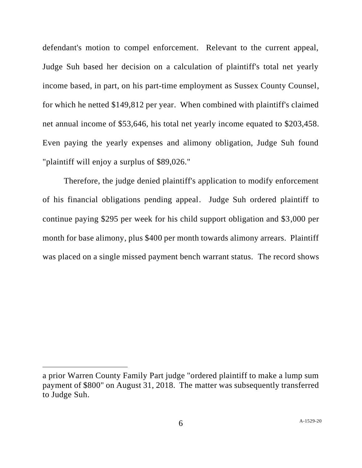defendant's motion to compel enforcement. Relevant to the current appeal, Judge Suh based her decision on a calculation of plaintiff's total net yearly income based, in part, on his part-time employment as Sussex County Counsel, for which he netted \$149,812 per year. When combined with plaintiff's claimed net annual income of \$53,646, his total net yearly income equated to \$203,458. Even paying the yearly expenses and alimony obligation, Judge Suh found "plaintiff will enjoy a surplus of \$89,026."

Therefore, the judge denied plaintiff's application to modify enforcement of his financial obligations pending appeal. Judge Suh ordered plaintiff to continue paying \$295 per week for his child support obligation and \$3,000 per month for base alimony, plus \$400 per month towards alimony arrears. Plaintiff was placed on a single missed payment bench warrant status. The record shows

a prior Warren County Family Part judge "ordered plaintiff to make a lump sum payment of \$800" on August 31, 2018. The matter was subsequently transferred to Judge Suh.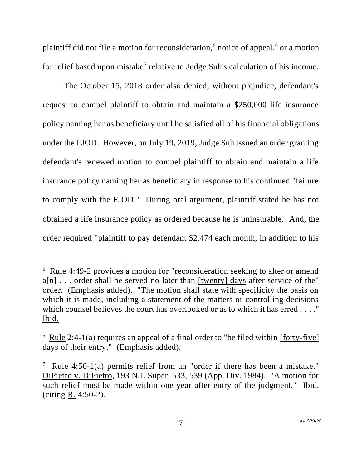plaintiff did not file a motion for reconsideration,<sup>5</sup> notice of appeal, $6$  or a motion for relief based upon mistake<sup>7</sup> relative to Judge Suh's calculation of his income.

The October 15, 2018 order also denied, without prejudice, defendant's request to compel plaintiff to obtain and maintain a \$250,000 life insurance policy naming her as beneficiary until he satisfied all of his financial obligations under the FJOD. However, on July 19, 2019, Judge Suh issued an order granting defendant's renewed motion to compel plaintiff to obtain and maintain a life insurance policy naming her as beneficiary in response to his continued "failure to comply with the FJOD." During oral argument, plaintiff stated he has not obtained a life insurance policy as ordered because he is uninsurable. And, the order required "plaintiff to pay defendant \$2,474 each month, in addition to his

<sup>&</sup>lt;sup>5</sup> Rule 4:49-2 provides a motion for "reconsideration seeking to alter or amend  $a[n]$ ... order shall be served no later than [twenty] days after service of the" order. (Emphasis added). "The motion shall state with specificity the basis on which it is made, including a statement of the matters or controlling decisions which counsel believes the court has overlooked or as to which it has erred . . . . " Ibid.

 $6 \text{ Rule } 2:4-1(a)$  requires an appeal of a final order to "be filed within [forty-five] days of their entry." (Emphasis added).

<sup>&</sup>lt;sup>7</sup> Rule 4:50-1(a) permits relief from an "order if there has been a mistake." DiPietro v. DiPietro, 193 N.J. Super. 533, 539 (App. Div. 1984). "A motion for such relief must be made within one year after entry of the judgment." Ibid. (citing R. 4:50-2).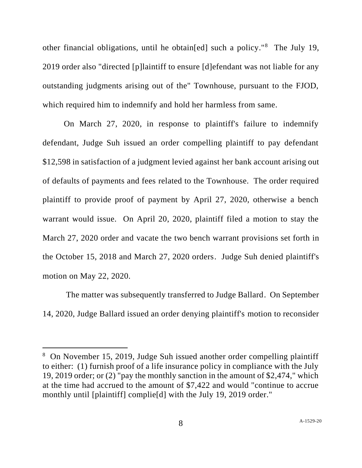other financial obligations, until he obtain[ed] such a policy."<sup>8</sup> The July 19, 2019 order also "directed [p]laintiff to ensure [d]efendant was not liable for any outstanding judgments arising out of the" Townhouse, pursuant to the FJOD, which required him to indemnify and hold her harmless from same.

On March 27, 2020, in response to plaintiff's failure to indemnify defendant, Judge Suh issued an order compelling plaintiff to pay defendant \$12,598 in satisfaction of a judgment levied against her bank account arising out of defaults of payments and fees related to the Townhouse. The order required plaintiff to provide proof of payment by April 27, 2020, otherwise a bench warrant would issue. On April 20, 2020, plaintiff filed a motion to stay the March 27, 2020 order and vacate the two bench warrant provisions set forth in the October 15, 2018 and March 27, 2020 orders. Judge Suh denied plaintiff's motion on May 22, 2020.

The matter was subsequently transferred to Judge Ballard. On September 14, 2020, Judge Ballard issued an order denying plaintiff's motion to reconsider

<sup>&</sup>lt;sup>8</sup> On November 15, 2019, Judge Suh issued another order compelling plaintiff to either: (1) furnish proof of a life insurance policy in compliance with the July 19, 2019 order; or (2) "pay the monthly sanction in the amount of \$2,474," which at the time had accrued to the amount of \$7,422 and would "continue to accrue monthly until [plaintiff] complie[d] with the July 19, 2019 order."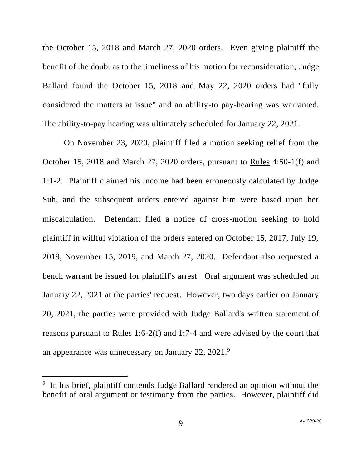the October 15, 2018 and March 27, 2020 orders. Even giving plaintiff the benefit of the doubt as to the timeliness of his motion for reconsideration, Judge Ballard found the October 15, 2018 and May 22, 2020 orders had "fully considered the matters at issue" and an ability-to pay-hearing was warranted. The ability-to-pay hearing was ultimately scheduled for January 22, 2021.

On November 23, 2020, plaintiff filed a motion seeking relief from the October 15, 2018 and March 27, 2020 orders, pursuant to Rules 4:50-1(f) and 1:1-2. Plaintiff claimed his income had been erroneously calculated by Judge Suh, and the subsequent orders entered against him were based upon her miscalculation. Defendant filed a notice of cross-motion seeking to hold plaintiff in willful violation of the orders entered on October 15, 2017, July 19, 2019, November 15, 2019, and March 27, 2020. Defendant also requested a bench warrant be issued for plaintiff's arrest. Oral argument was scheduled on January 22, 2021 at the parties' request. However, two days earlier on January 20, 2021, the parties were provided with Judge Ballard's written statement of reasons pursuant to  $\frac{\text{Rules}}{\text{1:6-2(f)}}$  and 1:7-4 and were advised by the court that an appearance was unnecessary on January 22,  $2021$ .<sup>9</sup>

<sup>&</sup>lt;sup>9</sup> In his brief, plaintiff contends Judge Ballard rendered an opinion without the benefit of oral argument or testimony from the parties. However, plaintiff did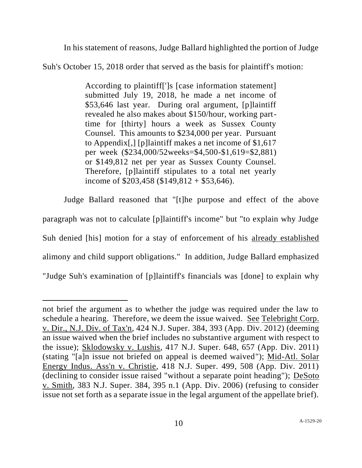In his statement of reasons, Judge Ballard highlighted the portion of Judge

Suh's October 15, 2018 order that served as the basis for plaintiff's motion:

According to plaintiff[']s [case information statement] submitted July 19, 2018, he made a net income of \$53,646 last year. During oral argument, [p]laintiff revealed he also makes about \$150/hour, working parttime for [thirty] hours a week as Sussex County Counsel. This amounts to \$234,000 per year. Pursuant to Appendix[,] [p]laintiff makes a net income of \$1,617 per week (\$234,000/52weeks=\$4,500-\$1,619=\$2,881) or \$149,812 net per year as Sussex County Counsel. Therefore, [p]laintiff stipulates to a total net yearly income of \$203,458 (\$149,812 + \$53,646).

Judge Ballard reasoned that "[t]he purpose and effect of the above paragraph was not to calculate [p]laintiff's income" but "to explain why Judge Suh denied [his] motion for a stay of enforcement of his already established alimony and child support obligations." In addition, Judge Ballard emphasized "Judge Suh's examination of [p]laintiff's financials was [done] to explain why

not brief the argument as to whether the judge was required under the law to schedule a hearing. Therefore, we deem the issue waived. See Telebright Corp. v. Dir., N.J. Div. of Tax'n, 424 N.J. Super. 384, 393 (App. Div. 2012) (deeming an issue waived when the brief includes no substantive argument with respect to the issue); Sklodowsky v. Lushis, 417 N.J. Super. 648, 657 (App. Div. 2011) (stating "[a]n issue not briefed on appeal is deemed waived"); Mid-Atl. Solar Energy Indus. Ass'n v. Christie, 418 N.J. Super. 499, 508 (App. Div. 2011) (declining to consider issue raised "without a separate point heading"); DeSoto v. Smith, 383 N.J. Super. 384, 395 n.1 (App. Div. 2006) (refusing to consider issue not set forth as a separate issue in the legal argument of the appellate brief).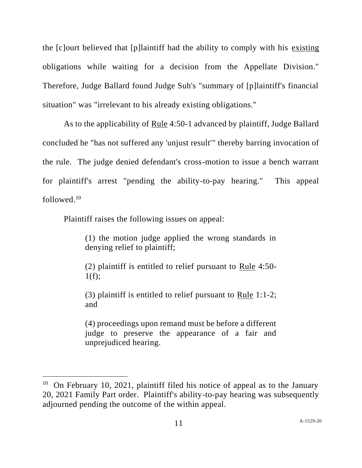the [c]ourt believed that [p]laintiff had the ability to comply with his existing obligations while waiting for a decision from the Appellate Division." Therefore, Judge Ballard found Judge Suh's "summary of [p]laintiff's financial situation" was "irrelevant to his already existing obligations."

As to the applicability of Rule 4:50-1 advanced by plaintiff, Judge Ballard concluded he "has not suffered any 'unjust result'" thereby barring invocation of the rule. The judge denied defendant's cross-motion to issue a bench warrant for plaintiff's arrest "pending the ability-to-pay hearing." This appeal followed $10$ 

Plaintiff raises the following issues on appeal:

(1) the motion judge applied the wrong standards in denying relief to plaintiff;

(2) plaintiff is entitled to relief pursuant to Rule 4:50-  $1(f);$ 

(3) plaintiff is entitled to relief pursuant to Rule 1:1-2; and

(4) proceedings upon remand must be before a different judge to preserve the appearance of a fair and unprejudiced hearing.

<sup>&</sup>lt;sup>10</sup> On February 10, 2021, plaintiff filed his notice of appeal as to the January 20, 2021 Family Part order. Plaintiff's ability-to-pay hearing was subsequently adjourned pending the outcome of the within appeal.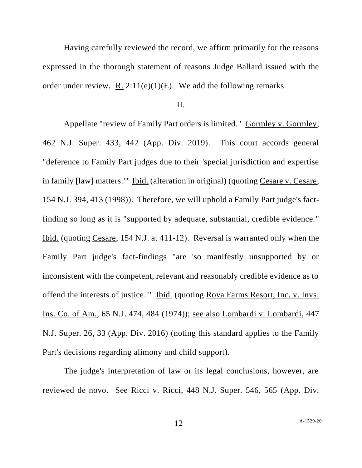Having carefully reviewed the record, we affirm primarily for the reasons expressed in the thorough statement of reasons Judge Ballard issued with the order under review. R.  $2:11(e)(1)(E)$ . We add the following remarks.

## II.

Appellate "review of Family Part orders is limited." Gormley v. Gormley, 462 N.J. Super. 433, 442 (App. Div. 2019). This court accords general "deference to Family Part judges due to their 'special jurisdiction and expertise in family [law] matters.'" Ibid. (alteration in original) (quoting Cesare v. Cesare, 154 N.J. 394, 413 (1998)). Therefore, we will uphold a Family Part judge's factfinding so long as it is "supported by adequate, substantial, credible evidence." Ibid. (quoting Cesare, 154 N.J. at 411-12). Reversal is warranted only when the Family Part judge's fact-findings "are 'so manifestly unsupported by or inconsistent with the competent, relevant and reasonably credible evidence as to offend the interests of justice.'" Ibid. (quoting Rova Farms Resort, Inc. v. Invs. Ins. Co. of Am., 65 N.J. 474, 484 (1974)); see also Lombardi v. Lombardi, 447 N.J. Super. 26, 33 (App. Div. 2016) (noting this standard applies to the Family Part's decisions regarding alimony and child support).

The judge's interpretation of law or its legal conclusions, however, are reviewed de novo. See Ricci v. Ricci, 448 N.J. Super. 546, 565 (App. Div.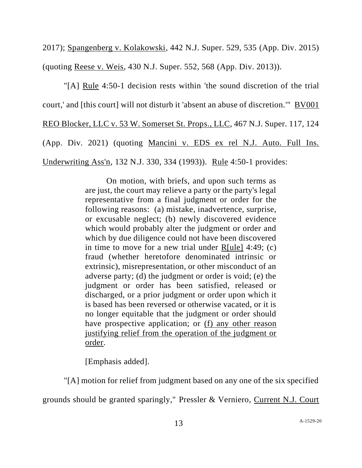2017); Spangenberg v. Kolakowski, 442 N.J. Super. 529, 535 (App. Div. 2015) (quoting Reese v. Weis, 430 N.J. Super. 552, 568 (App. Div. 2013)).

"[A] Rule 4:50-1 decision rests within 'the sound discretion of the trial court,' and [this court] will not disturb it 'absent an abuse of discretion.'" BV001 REO Blocker, LLC v. 53 W. Somerset St. Props., LLC, 467 N.J. Super. 117, 124 (App. Div. 2021) (quoting Mancini v. EDS ex rel N.J. Auto. Full Ins. Underwriting Ass'n, 132 N.J. 330, 334 (1993)). Rule 4:50-1 provides:

> On motion, with briefs, and upon such terms as are just, the court may relieve a party or the party's legal representative from a final judgment or order for the following reasons: (a) mistake, inadvertence, surprise, or excusable neglect; (b) newly discovered evidence which would probably alter the judgment or order and which by due diligence could not have been discovered in time to move for a new trial under  $R[ule]$  4:49; (c) fraud (whether heretofore denominated intrinsic or extrinsic), misrepresentation, or other misconduct of an adverse party; (d) the judgment or order is void; (e) the judgment or order has been satisfied, released or discharged, or a prior judgment or order upon which it is based has been reversed or otherwise vacated, or it is no longer equitable that the judgment or order should have prospective application; or (f) any other reason justifying relief from the operation of the judgment or order.

[Emphasis added].

"[A] motion for relief from judgment based on any one of the six specified

grounds should be granted sparingly," Pressler & Verniero, Current N.J. Court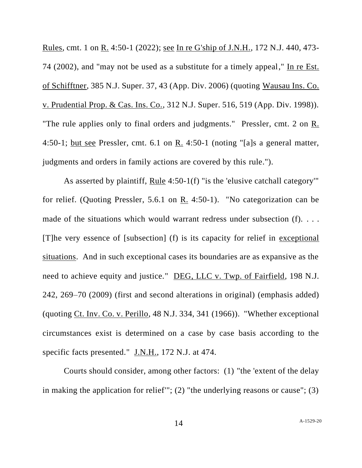Rules, cmt. 1 on R. 4:50-1 (2022); see In re G'ship of J.N.H., 172 N.J. 440, 473- 74 (2002), and "may not be used as a substitute for a timely appeal," In re Est. of Schifftner, 385 N.J. Super. 37, 43 (App. Div. 2006) (quoting Wausau Ins. Co. v. Prudential Prop. & Cas. Ins. Co., 312 N.J. Super. 516, 519 (App. Div. 1998)). "The rule applies only to final orders and judgments." Pressler, cmt. 2 on R. 4:50-1; but see Pressler, cmt. 6.1 on R. 4:50-1 (noting "[a]s a general matter, judgments and orders in family actions are covered by this rule.").

As asserted by plaintiff, Rule 4:50-1(f) "is the 'elusive catchall category'" for relief. (Quoting Pressler, 5.6.1 on R. 4:50-1). "No categorization can be made of the situations which would warrant redress under subsection (f). ... [T]he very essence of [subsection] (f) is its capacity for relief in exceptional situations. And in such exceptional cases its boundaries are as expansive as the need to achieve equity and justice." DEG, LLC v. Twp. of Fairfield, 198 N.J. 242, 269–70 (2009) (first and second alterations in original) (emphasis added) (quoting Ct. Inv. Co. v. Perillo, 48 N.J. 334, 341 (1966)). "Whether exceptional circumstances exist is determined on a case by case basis according to the specific facts presented." J.N.H., 172 N.J. at 474.

Courts should consider, among other factors: (1) "the 'extent of the delay in making the application for relief'"; (2) "the underlying reasons or cause"; (3)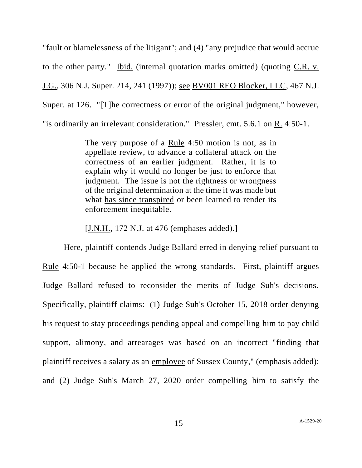"fault or blamelessness of the litigant"; and (4) "any prejudice that would accrue to the other party." Ibid. (internal quotation marks omitted) (quoting C.R. v. J.G., 306 N.J. Super. 214, 241 (1997)); see BV001 REO Blocker, LLC, 467 N.J. Super. at 126. "[T]he correctness or error of the original judgment," however, "is ordinarily an irrelevant consideration." Pressler, cmt. 5.6.1 on R. 4:50-1.

> The very purpose of a Rule 4:50 motion is not, as in appellate review, to advance a collateral attack on the correctness of an earlier judgment. Rather, it is to explain why it would no longer be just to enforce that judgment. The issue is not the rightness or wrongness of the original determination at the time it was made but what has since transpired or been learned to render its enforcement inequitable.

[J.N.H., 172 N.J. at 476 (emphases added).]

Here, plaintiff contends Judge Ballard erred in denying relief pursuant to Rule 4:50-1 because he applied the wrong standards. First, plaintiff argues Judge Ballard refused to reconsider the merits of Judge Suh's decisions. Specifically, plaintiff claims: (1) Judge Suh's October 15, 2018 order denying his request to stay proceedings pending appeal and compelling him to pay child support, alimony, and arrearages was based on an incorrect "finding that plaintiff receives a salary as an employee of Sussex County," (emphasis added); and (2) Judge Suh's March 27, 2020 order compelling him to satisfy the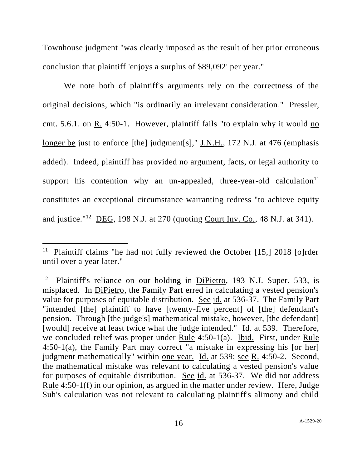Townhouse judgment "was clearly imposed as the result of her prior erroneous conclusion that plaintiff 'enjoys a surplus of \$89,092' per year."

We note both of plaintiff's arguments rely on the correctness of the original decisions, which "is ordinarily an irrelevant consideration." Pressler, cmt. 5.6.1. on R. 4:50-1. However, plaintiff fails "to explain why it would no longer be just to enforce [the] judgment[s]," J.N.H., 172 N.J. at 476 (emphasis added). Indeed, plaintiff has provided no argument, facts, or legal authority to support his contention why an un-appealed, three-year-old calculation $11$ constitutes an exceptional circumstance warranting redress "to achieve equity and justice."<sup>12</sup> DEG, 198 N.J. at 270 (quoting Court Inv. Co., 48 N.J. at 341).

<sup>&</sup>lt;sup>11</sup> Plaintiff claims "he had not fully reviewed the October [15,] 2018 [o]rder until over a year later."

<sup>12</sup> Plaintiff's reliance on our holding in DiPietro, 193 N.J. Super. 533, is misplaced. In DiPietro, the Family Part erred in calculating a vested pension's value for purposes of equitable distribution. See id. at 536-37. The Family Part "intended [the] plaintiff to have [twenty-five percent] of [the] defendant's pension. Through [the judge's] mathematical mistake, however, [the defendant] [would] receive at least twice what the judge intended." Id. at 539. Therefore, we concluded relief was proper under Rule 4:50-1(a). Ibid. First, under Rule 4:50-1(a), the Family Part may correct "a mistake in expressing his [or her] judgment mathematically" within one year. Id. at 539; see R. 4:50-2. Second, the mathematical mistake was relevant to calculating a vested pension's value for purposes of equitable distribution. See id. at 536-37. We did not address Rule 4:50-1(f) in our opinion, as argued in the matter under review. Here, Judge Suh's calculation was not relevant to calculating plaintiff's alimony and child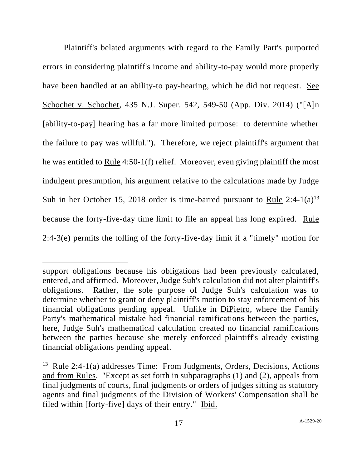Plaintiff's belated arguments with regard to the Family Part's purported errors in considering plaintiff's income and ability-to-pay would more properly have been handled at an ability-to pay-hearing, which he did not request. See Schochet v. Schochet, 435 N.J. Super. 542, 549-50 (App. Div. 2014) ("[A]n [ability-to-pay] hearing has a far more limited purpose: to determine whether the failure to pay was willful."). Therefore, we reject plaintiff's argument that he was entitled to Rule 4:50-1(f) relief. Moreover, even giving plaintiff the most indulgent presumption, his argument relative to the calculations made by Judge Suh in her October 15, 2018 order is time-barred pursuant to Rule  $2:4-1(a)^{13}$ because the forty-five-day time limit to file an appeal has long expired. Rule 2:4-3(e) permits the tolling of the forty-five-day limit if a "timely" motion for

support obligations because his obligations had been previously calculated, entered, and affirmed. Moreover, Judge Suh's calculation did not alter plaintiff's obligations. Rather, the sole purpose of Judge Suh's calculation was to determine whether to grant or deny plaintiff's motion to stay enforcement of his financial obligations pending appeal. Unlike in DiPietro, where the Family Party's mathematical mistake had financial ramifications between the parties, here, Judge Suh's mathematical calculation created no financial ramifications between the parties because she merely enforced plaintiff's already existing financial obligations pending appeal.

<sup>&</sup>lt;sup>13</sup> Rule 2:4-1(a) addresses Time: From Judgments, Orders, Decisions, Actions and from Rules. "Except as set forth in subparagraphs (1) and (2), appeals from final judgments of courts, final judgments or orders of judges sitting as statutory agents and final judgments of the Division of Workers' Compensation shall be filed within [forty-five] days of their entry." Ibid.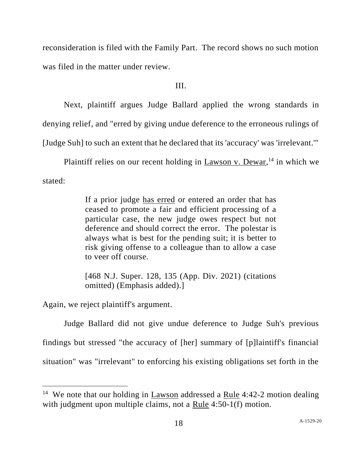reconsideration is filed with the Family Part. The record shows no such motion was filed in the matter under review.

III.

Next, plaintiff argues Judge Ballard applied the wrong standards in denying relief, and "erred by giving undue deference to the erroneous rulings of [Judge Suh] to such an extent that he declared that its 'accuracy' was 'irrelevant.'"

Plaintiff relies on our recent holding in  $Lawson v$ . Dewar, <sup>14</sup> in which we stated:

> If a prior judge has erred or entered an order that has ceased to promote a fair and efficient processing of a particular case, the new judge owes respect but not deference and should correct the error. The polestar is always what is best for the pending suit; it is better to risk giving offense to a colleague than to allow a case to veer off course.

> [468 N.J. Super. 128, 135 (App. Div. 2021) (citations omitted) (Emphasis added).]

Again, we reject plaintiff's argument.

Judge Ballard did not give undue deference to Judge Suh's previous findings but stressed "the accuracy of [her] summary of [p]laintiff's financial situation" was "irrelevant" to enforcing his existing obligations set forth in the

<sup>&</sup>lt;sup>14</sup> We note that our holding in  $\underline{Lawson}$  addressed a Rule 4:42-2 motion dealing with judgment upon multiple claims, not a Rule 4:50-1(f) motion.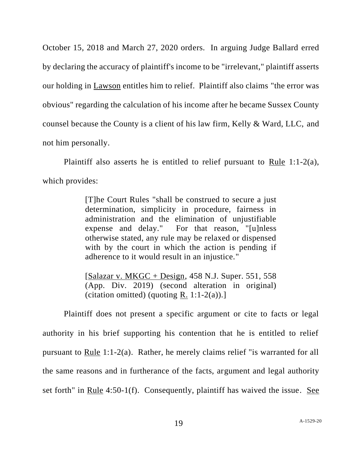October 15, 2018 and March 27, 2020 orders. In arguing Judge Ballard erred by declaring the accuracy of plaintiff's income to be "irrelevant," plaintiff asserts our holding in Lawson entitles him to relief. Plaintiff also claims "the error was obvious" regarding the calculation of his income after he became Sussex County counsel because the County is a client of his law firm, Kelly & Ward, LLC, and not him personally.

Plaintiff also asserts he is entitled to relief pursuant to Rule 1:1-2(a), which provides:

> [T]he Court Rules "shall be construed to secure a just determination, simplicity in procedure, fairness in administration and the elimination of unjustifiable expense and delay." For that reason, "[u]nless otherwise stated, any rule may be relaxed or dispensed with by the court in which the action is pending if adherence to it would result in an injustice."

> $[Salazar v. MKGC + Design, 458 N.J. Super. 551, 558]$ (App. Div. 2019) (second alteration in original) (citation omitted) (quoting  $R$ . 1:1-2(a)).]

Plaintiff does not present a specific argument or cite to facts or legal authority in his brief supporting his contention that he is entitled to relief pursuant to Rule 1:1-2(a). Rather, he merely claims relief "is warranted for all the same reasons and in furtherance of the facts, argument and legal authority set forth" in Rule 4:50-1(f). Consequently, plaintiff has waived the issue. See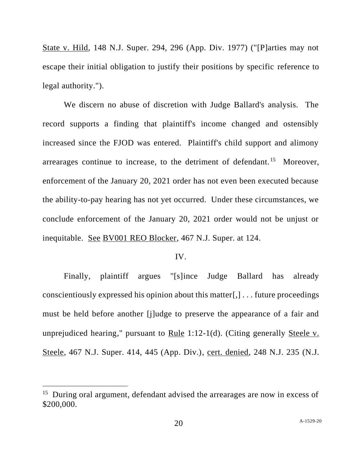State v. Hild, 148 N.J. Super. 294, 296 (App. Div. 1977) ("[P]arties may not escape their initial obligation to justify their positions by specific reference to legal authority.").

We discern no abuse of discretion with Judge Ballard's analysis. The record supports a finding that plaintiff's income changed and ostensibly increased since the FJOD was entered. Plaintiff's child support and alimony arrearages continue to increase, to the detriment of defendant.<sup>15</sup> Moreover, enforcement of the January 20, 2021 order has not even been executed because the ability-to-pay hearing has not yet occurred. Under these circumstances, we conclude enforcement of the January 20, 2021 order would not be unjust or inequitable. See BV001 REO Blocker, 467 N.J. Super. at 124.

## IV.

Finally, plaintiff argues "[s]ince Judge Ballard has already conscientiously expressed his opinion about this matter[,] . . . future proceedings must be held before another [j]udge to preserve the appearance of a fair and unprejudiced hearing," pursuant to Rule 1:12-1(d). (Citing generally Steele v. Steele, 467 N.J. Super. 414, 445 (App. Div.), cert. denied, 248 N.J. 235 (N.J.

<sup>&</sup>lt;sup>15</sup> During oral argument, defendant advised the arrearages are now in excess of \$200,000.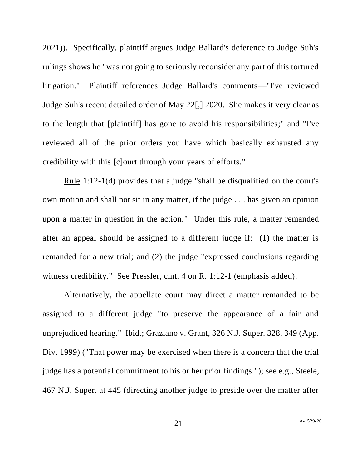2021)). Specifically, plaintiff argues Judge Ballard's deference to Judge Suh's rulings shows he "was not going to seriously reconsider any part of this tortured litigation." Plaintiff references Judge Ballard's comments—"I've reviewed Judge Suh's recent detailed order of May 22[,] 2020. She makes it very clear as to the length that [plaintiff] has gone to avoid his responsibilities;" and "I've reviewed all of the prior orders you have which basically exhausted any credibility with this [c]ourt through your years of efforts."

Rule 1:12-1(d) provides that a judge "shall be disqualified on the court's own motion and shall not sit in any matter, if the judge . . . has given an opinion upon a matter in question in the action." Under this rule, a matter remanded after an appeal should be assigned to a different judge if: (1) the matter is remanded for a new trial; and (2) the judge "expressed conclusions regarding witness credibility." See Pressler, cmt. 4 on R. 1:12-1 (emphasis added).

Alternatively, the appellate court may direct a matter remanded to be assigned to a different judge "to preserve the appearance of a fair and unprejudiced hearing." Ibid.; Graziano v. Grant, 326 N.J. Super. 328, 349 (App. Div. 1999) ("That power may be exercised when there is a concern that the trial judge has a potential commitment to his or her prior findings."); see e.g., Steele, 467 N.J. Super. at 445 (directing another judge to preside over the matter after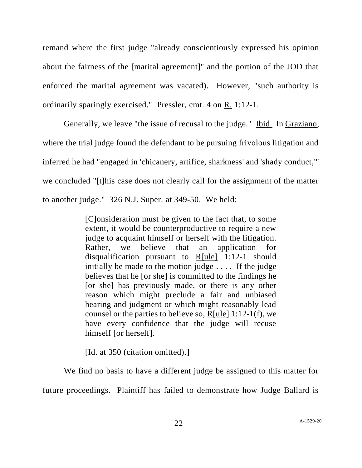remand where the first judge "already conscientiously expressed his opinion about the fairness of the [marital agreement]" and the portion of the JOD that enforced the marital agreement was vacated). However, "such authority is ordinarily sparingly exercised." Pressler, cmt. 4 on R. 1:12-1.

Generally, we leave "the issue of recusal to the judge." Ibid. In Graziano, where the trial judge found the defendant to be pursuing frivolous litigation and inferred he had "engaged in 'chicanery, artifice, sharkness' and 'shady conduct,'" we concluded "[t]his case does not clearly call for the assignment of the matter to another judge." 326 N.J. Super. at 349-50. We held:

> [C]onsideration must be given to the fact that, to some extent, it would be counterproductive to require a new judge to acquaint himself or herself with the litigation. Rather, we believe that an application for disqualification pursuant to R[ule] 1:12-1 should initially be made to the motion judge . . . . If the judge believes that he [or she] is committed to the findings he [or she] has previously made, or there is any other reason which might preclude a fair and unbiased hearing and judgment or which might reasonably lead counsel or the parties to believe so,  $R[ule] 1:12-1(f)$ , we have every confidence that the judge will recuse himself [or herself].

[Id. at 350 (citation omitted).]

We find no basis to have a different judge be assigned to this matter for future proceedings. Plaintiff has failed to demonstrate how Judge Ballard is